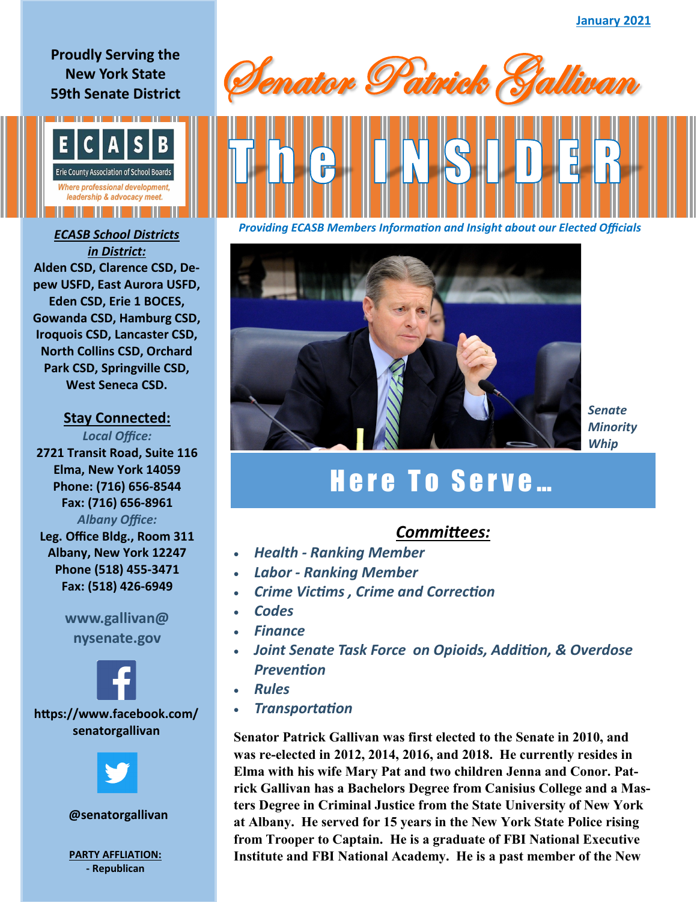#### **Proudly Serving the New York State 59th Senate District**



## *in District:* **Alden CSD, Clarence CSD, Depew USFD, East Aurora USFD, Eden CSD, Erie 1 BOCES, Gowanda CSD, Hamburg CSD, Iroquois CSD, Lancaster CSD, North Collins CSD, Orchard Park CSD, Springville CSD, West Seneca CSD.**

#### **Stay Connected:**

*Local Office:* **2721 Transit Road, Suite 116 Elma, New York 14059 Phone: (716) 656-8544 Fax: (716) 656-8961** *Albany Office:*  **Leg. Office Bldg., Room 311 Albany, New York 12247 Phone (518) 455-3471 Fax: (518) 426-6949**

## **www.gallivan@ nysenate.gov**



**https://www.facebook.com/ senatorgallivan**



#### **@senatorgallivan**

**- Republican**







*Senate Minority Whip*

# Here To Serve...

## *Committees:*

- *Health - Ranking Member*
- *Labor - Ranking Member*
- *Crime Victims , Crime and Correction*
- *Codes*
- *Finance*
- *Joint Senate Task Force on Opioids, Addition, & Overdose Prevention*
- *Rules*
- *Transportation*

**Senator Patrick Gallivan was first elected to the Senate in 2010, and was re-elected in 2012, 2014, 2016, and 2018. He currently resides in Elma with his wife Mary Pat and two children Jenna and Conor. Patrick Gallivan has a Bachelors Degree from Canisius College and a Masters Degree in Criminal Justice from the State University of New York at Albany. He served for 15 years in the New York State Police rising from Trooper to Captain. He is a graduate of FBI National Executive PARTY AFFLIATION: Institute and FBI National Academy. He is a past member of the New**